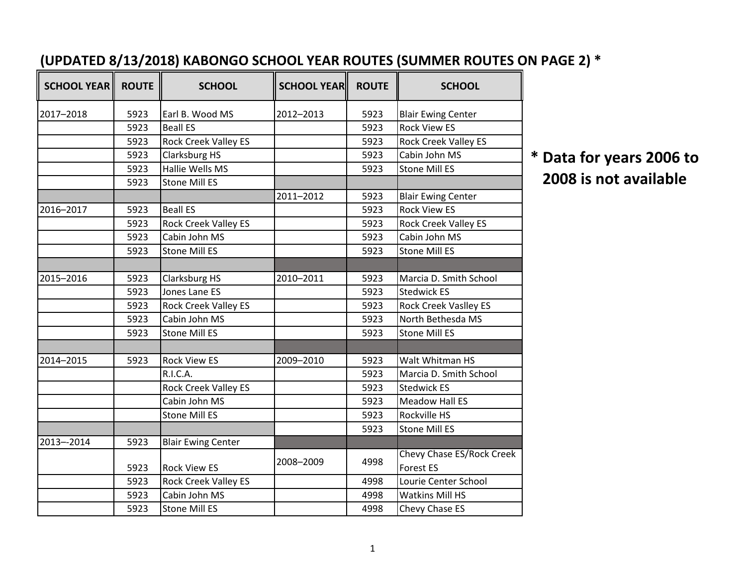| <b>SCHOOL YEAR</b> | <b>ROUTE</b> | <b>SCHOOL</b>               | <b>SCHOOL YEAR</b> | <b>ROUTE</b> | <b>SCHOOL</b>                                 |
|--------------------|--------------|-----------------------------|--------------------|--------------|-----------------------------------------------|
| 2017-2018          | 5923         | Earl B. Wood MS             | 2012-2013          | 5923         | <b>Blair Ewing Center</b>                     |
|                    | 5923         | <b>Beall ES</b>             |                    | 5923         | <b>Rock View ES</b>                           |
|                    | 5923         | <b>Rock Creek Valley ES</b> |                    | 5923         | Rock Creek Valley ES                          |
|                    | 5923         | Clarksburg HS               |                    | 5923         | Cabin John MS                                 |
|                    | 5923         | Hallie Wells MS             |                    | 5923         | <b>Stone Mill ES</b>                          |
|                    | 5923         | <b>Stone Mill ES</b>        |                    |              |                                               |
|                    |              |                             | 2011-2012          | 5923         | <b>Blair Ewing Center</b>                     |
| 2016-2017          | 5923         | <b>Beall ES</b>             |                    | 5923         | <b>Rock View ES</b>                           |
|                    | 5923         | <b>Rock Creek Valley ES</b> |                    | 5923         | <b>Rock Creek Valley ES</b>                   |
|                    | 5923         | Cabin John MS               |                    | 5923         | Cabin John MS                                 |
|                    | 5923         | <b>Stone Mill ES</b>        |                    | 5923         | <b>Stone Mill ES</b>                          |
|                    |              |                             |                    |              |                                               |
| 2015-2016          | 5923         | Clarksburg HS               | 2010-2011          | 5923         | Marcia D. Smith School                        |
|                    | 5923         | Jones Lane ES               |                    | 5923         | <b>Stedwick ES</b>                            |
|                    | 5923         | Rock Creek Valley ES        |                    | 5923         | <b>Rock Creek Vaslley ES</b>                  |
|                    | 5923         | Cabin John MS               |                    | 5923         | North Bethesda MS                             |
|                    | 5923         | <b>Stone Mill ES</b>        |                    | 5923         | <b>Stone Mill ES</b>                          |
|                    |              |                             |                    |              |                                               |
| 2014-2015          | 5923         | <b>Rock View ES</b>         | 2009-2010          | 5923         | Walt Whitman HS                               |
|                    |              | R.I.C.A.                    |                    | 5923         | Marcia D. Smith School                        |
|                    |              | <b>Rock Creek Valley ES</b> |                    | 5923         | <b>Stedwick ES</b>                            |
|                    |              | Cabin John MS               |                    | 5923         | <b>Meadow Hall ES</b>                         |
|                    |              | <b>Stone Mill ES</b>        |                    | 5923         | Rockville HS                                  |
|                    |              |                             |                    | 5923         | <b>Stone Mill ES</b>                          |
| 2013--2014         | 5923         | <b>Blair Ewing Center</b>   |                    |              |                                               |
|                    | 5923         | <b>Rock View ES</b>         | 2008-2009          | 4998         | Chevy Chase ES/Rock Creek<br><b>Forest ES</b> |
|                    | 5923         | <b>Rock Creek Valley ES</b> |                    | 4998         | Lourie Center School                          |
|                    | 5923         | Cabin John MS               |                    | 4998         | <b>Watkins Mill HS</b>                        |
|                    | 5923         | <b>Stone Mill ES</b>        |                    | 4998         | Chevy Chase ES                                |

## **(UPDATED 8/13/2018) KABONGO SCHOOL YEAR ROUTES (SUMMER ROUTES ON PAGE 2) \***

**\* Data for years 2006 to 2008 is not available**